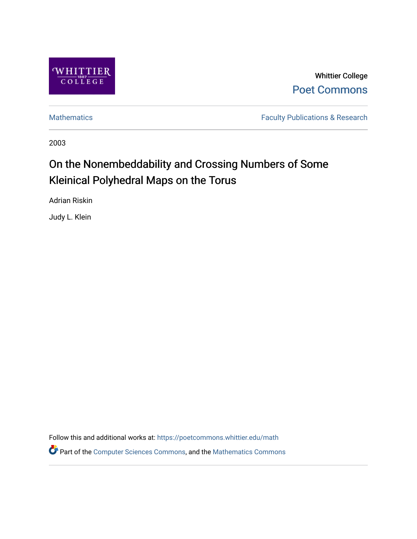

Whittier College [Poet Commons](https://poetcommons.whittier.edu/) 

[Mathematics](https://poetcommons.whittier.edu/math) **Faculty Publications & Research** 

2003

# On the Nonembeddability and Crossing Numbers of Some Kleinical Polyhedral Maps on the Torus

Adrian Riskin

Judy L. Klein

Follow this and additional works at: [https://poetcommons.whittier.edu/math](https://poetcommons.whittier.edu/math?utm_source=poetcommons.whittier.edu%2Fmath%2F6&utm_medium=PDF&utm_campaign=PDFCoverPages) Part of the [Computer Sciences Commons](http://network.bepress.com/hgg/discipline/142?utm_source=poetcommons.whittier.edu%2Fmath%2F6&utm_medium=PDF&utm_campaign=PDFCoverPages), and the [Mathematics Commons](http://network.bepress.com/hgg/discipline/174?utm_source=poetcommons.whittier.edu%2Fmath%2F6&utm_medium=PDF&utm_campaign=PDFCoverPages)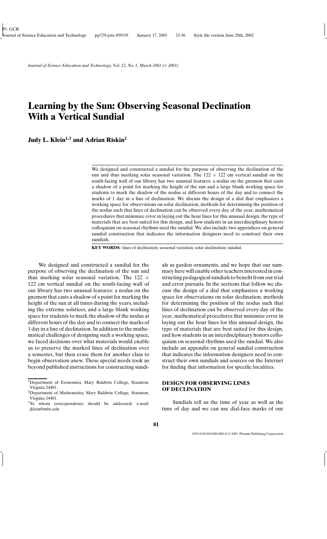# **Learning by the Sun: Observing Seasonal Declination With a Vertical Sundial**

**Judy L. Klein1,3 and Adrian Riskin<sup>2</sup>**

We designed and constructed a sundial for the purpose of observing the declination of the sun and thus marking solar seasonal variation. The  $122 \times 122$  cm vertical sundial on the south-facing wall of our library has two unusual features: a nodus on the gnomon that casts a shadow of a point for marking the height of the sun and a large blank working space for students to mark the shadow of the nodus at different hours of the day and to connect the marks of 1 day in a line of declination. We discuss the design of a dial that emphasizes a working space for observations on solar declination, methods for determining the position of the nodus such that lines of declination can be observed every day of the year, mathematical procedures that minimize error in laying out the hour lines for this unusual design, the type of materials that are best suited for this design, and how students in an interdisciplinary honors colloquium on seasonal rhythms used the sundial. We also include two appendices on general sundial construction that indicates the information designers need to construct their own sundials.

**KEY WORDS:** lines of declination; seasonal variation; solar declination; sundial.

We designed and constructed a sundial for the purpose of observing the declination of the sun and thus marking solar seasonal variation. The 122  $\times$ 122 cm vertical sundial on the south-facing wall of our library has two unusual features: a nodus on the gnomon that casts a shadow of a point for marking the height of the sun at all times during the years, including the extreme solstices, and a large blank working space for students to mark the shadow of the nodus at different hours of the day and to connect the marks of 1 day in a line of declination. In addition to the mathematical challenges of designing such a working space, we faced decisions over what materials would enable us to preserve the marked lines of declination over a semester, but then erase them for another class to begin observation anew. These special needs took us beyond published instructions for constructing sundi-

als as garden ornaments, and we hope that our summary here will enable other teachers interested in constructing pedagogical sundials to benefit from our trial and error pursuits. In the sections that follow we discuss the design of a dial that emphasizes a working space for observations on solar declination, methods for determining the position of the nodus such that lines of declination can be observed every day of the year, mathematical procedures that minimize error in laying out the hour lines for this unusual design, the type of materials that are best suited for this design, and how students in an interdisciplinary honors colloquium on seasonal rhythms used the sundial. We also include an appendix on general sundial construction that indicates the information designers need to construct their own sundials and sources on the Internet for finding that information for specific localities.

# **DESIGN FOR OBSERVING LINES OF DECLINATION**

Sundials tell us the time of year as well as the time of day and we can use dial-face marks of our

<sup>1</sup>Department of Economics, Mary Baldwin College, Staunton, Virginia 24401.

<sup>2</sup>Department of Mathematics, Mary Baldwin College, Staunton, Virginia 24401.

<sup>3</sup>To whom correspondence should be addressed; e-mail: jklein@mbc.edu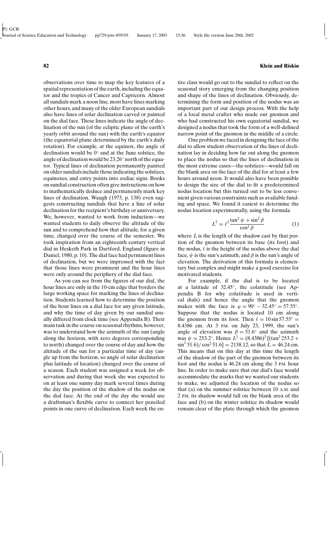observations over time to map the key features of a spatial representation of the earth, including the equator and the tropics of Cancer and Capricorn. Almost all sundials mark a noon line, most have lines marking other hours, and many of the older European sundials also have lines of solar declination carved or painted on the dial face. These lines indicate the angle of declination of the sun (of the ecliptic plane of the earth's yearly orbit around the sun) with the earth's equator (the equatorial plane determined by the earth's daily rotation). For example, at the equinox, the angle of declination would be  $0°$  and at the June solstice, the angle of declination would be 23.26◦ north of the equator. Typical lines of declination permanently painted on older sundials include those indicating the solstices, equinoxes, and entry points into zodiac signs. Books on sundial construction often give instructions on how to mathematically deduce and permanently mark key lines of declination. Waugh (1973, p. 138) even suggests constructing sundials that have a line of solar declination for the recipient's birthday or anniversary. We, however, wanted to work from induction—we wanted students to daily observe the altitude of the sun and to comprehend how that altitude, for a given time, changed over the course of the semester. We took inspiration from an eighteenth century vertical dial in Hesketh Park in Dartford, England (figure in Daniel, 1980, p. 10). The dial face had permanent lines of declination, but we were impressed with the fact that those lines were prominent and the hour lines were only around the periphery of the dial face.

As you can see from the figures of our dial, the hour lines are only in the 10-cm edge that borders the large working space for marking the lines of declination. Students learned how to determine the position of the hour lines on a dial face for any given latitude, and why the time of day given by our sundial usually differed from clock time (see Appendix B). Their main task in the course on seasonal rhythms, however, was to understand how the azimuth of the sun (angle along the horizon, with zero degrees corresponding to north) changed over the course of day and how the altitude of the sun for a particular time of day (angle up from the horizon, so angle of solar declination plus latitude of location) changed over the course of a season. Each student was assigned a week for observation and during that week she was expected to on at least one sunny day mark several times during the day the position of the shadow of the nodus on the dial face. At the end of the day she would use a draftsman's flexible curve to connect her penciled points in one curve of declination. Each week the en-

**82 Klein and Riskin**

tire class would go out to the sundial to reflect on the seasonal story emerging from the changing position and shape of the lines of declination. Obviously, determining the form and position of the nodus was an important part of our design process. With the help of a local metal crafter who made our gnomon and who had constructed his own equatorial sundial, we designed a nodus that took the form of a well-defined narrow point of the gnomon in the middle of a circle.

One problem we faced in designing the face of the dial to allow student observation of the lines of declination lay in deciding how far out along the gnomon to place the nodus so that the lines of declination in the most extreme cases—the solstices—would fall on the blank area on the face of the dial for at least a few hours around noon. It would also have been possible to design the size of the dial to fit a predetermined nodus location but this turned out to be less convenient given various constraints such as available funding and space. We found it easiest to determine the nodus location experimentally, using the formula

$$
L^2 = \ell^2 \frac{\tan^2 \psi + \sin^2 \beta}{\cos^2 \beta} \tag{1}
$$

where *L* is the length of the shadow cast by that portion of the gnomon between its base (its foot) and the nodus,  $\ell$  is the height of the nodus above the dial face,  $\psi$  is the sun's azimuth, and  $\beta$  is the sun's angle of elevation. The derivation of this formula is elementary but complex and might make a good exercise for motivated students.

For example, if the dial is to be located at a latitude of 32.45◦, the colatitude (see Appendix B for why colatitude is used in vertical dials) and hence the angle that the gnomon makes with the face is  $\varphi = 90^\circ - 32.45^\circ = 57.55^\circ$ . Suppose that the nodus is located 10 cm along the gnomon from its foot. Then  $\ell = 10 \sin 57.55° =$ 8.4386 cm. At 3 P.M. on July 23, 1999, the sun's angle of elevation was  $\beta = 51.6^\circ$  and the azimuth was  $\psi = 253.2^{\circ}$ . Hence  $L^2 = (8.4386)^2$  [(tan<sup>2</sup> 253.2 +  $\sin^2 51.6$ / $\cos^2 51.6$ ] = 2138.12, so that  $L = 46.24$  cm. This means that on this day at this time the length of the shadow of the part of the gnomon between its foot and the nodus is 46.24 cm along the 3 P.M. hour line. In order to make sure that our dial's face would accommodate the marks that we wanted our students to make, we adjusted the location of the nodus so that (a) on the summer solstice between 10 A.M. and 2 P.M. its shadow would fall on the blank area of the face and (b) on the winter solstice its shadow would remain clear of the plate through which the gnomon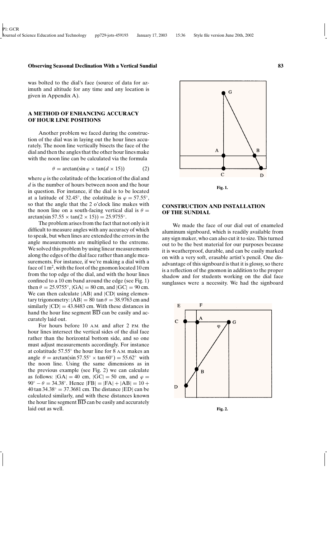#### **Observing Seasonal Declination With a Vertical Sundial 83 83**

was bolted to the dial's face (source of data for azimuth and altitude for any time and any location is given in Appendix A).

# **A METHOD OF ENHANCING ACCURACY OF HOUR LINE POSITIONS**

Another problem we faced during the construction of the dial was in laying out the hour lines accurately. The noon line vertically bisects the face of the dial and then the angles that the other hour lines make with the noon line can be calculated via the formula

$$
\theta = \arctan(\sin \varphi \times \tan(d \times 15)) \tag{2}
$$

where  $\varphi$  is the colatitude of the location of the dial and *d* is the number of hours between noon and the hour in question. For instance, if the dial is to be located at a latitude of 32.45°, the colatitude is  $\varphi = 57.55$ °, so that the angle that the 2 o'clock line makes with the noon line on a south-facing vertical dial is  $\theta =$  $\arctan(\sin 57.55 \times \tan(2 \times 15)) = 25.9755$ °.

The problem arises from the fact that not only is it difficult to measure angles with any accuracy of which to speak, but when lines are extended the errors in the angle measurements are multiplied to the extreme. We solved this problem by using linear measurements along the edges of the dial face rather than angle measurements. For instance, if we're making a dial with a face of 1 m<sup>2</sup>, with the foot of the gnomon located 10 cm from the top edge of the dial, and with the hour lines confined to a 10 cm band around the edge (see Fig. 1) then  $\theta = 25.9755^{\circ}$ ,  $|GA| = 80$  cm, and  $|GC| = 90$  cm. We can then calculate  $|AB|$  and  $|CD|$  using elementary trigonometry:  $|AB| = 80 \tan \theta = 38.9763 \text{ cm}$  and similarly  $|CD| = 43.8483$  cm. With these distances in hand the hour line segment  $\overline{BD}$  can be easily and accurately laid out.

For hours before 10 A.M. and after 2 P.M. the hour lines intersect the vertical sides of the dial face rather than the horizontal bottom side, and so one must adjust measurements accordingly. For instance at colatitude 57.55◦ the hour line for 8 A.M. makes an angle  $\theta = \arctan(\sin 57.55° \times \tan 60°) = 55.62°$  with the noon line. Using the same dimensions as in the previous example (see Fig. 2) we can calculate as follows:  $|GA| = 40$  cm,  $|GC| = 50$  cm, and  $\varphi =$  $90^\circ - \theta = 34.38^\circ$ . Hence  $|FB| = |FA| + |AB| = 10 +$  $40 \tan 34.38^\circ = 37.3681$  cm. The distance  $|ED|$  can be calculated similarly, and with these distances known the hour line segment  $\overline{BD}$  can be easily and accurately laid out as well.



## **CONSTRUCTION AND INSTALLATION OF THE SUNDIAL**

We made the face of our dial out of enameled aluminum signboard, which is readily available from any sign maker, who can also cut it to size. This turned out to be the best material for our purposes because it is weatherproof, durable, and can be easily marked on with a very soft, erasable artist's pencil. One disadvantage of this signboard is that it is glossy, so there is a reflection of the gnomon in addition to the proper shadow and for students working on the dial face sunglasses were a necessity. We had the signboard



**Fig. 2.**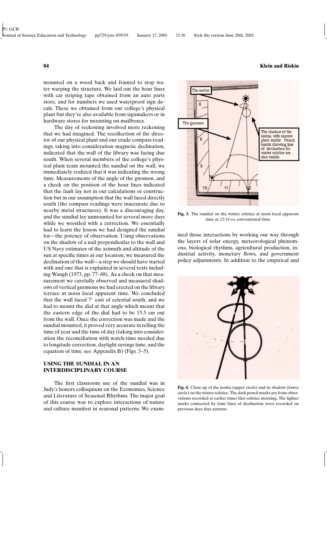mounted on a wood back and framed to stop water warping the structure. We laid out the hour lines with car striping tape obtained from an auto parts store, and for numbers we used waterproof sign decals. These we obtained from our college's physical plant but they're also available from signmakers or in hardware stores for mounting on mailboxes.

The day of reckoning involved more reckoning that we had imagined. The recollection of the director of our physical plant and our crude compass readings, taking into consideration magnetic declination, indicated that the wall of the library was facing due south. When several members of the college's physical plant team mounted the sundial on the wall, we immediately realized that it was indicating the wrong time. Measurements of the angle of the gnomon, and a check on the position of the hour lines indicated that the fault lay not in our calculations or construction but in our assumption that the wall faced directly south (the compass readings were inaccurate due to nearby metal structures). It was a discouraging day, and the sundial lay unmounted for several more days while we wrestled with a correction. We essentially had to learn the lesson we had designed the sundial for—the potency of observation. Using observations on the shadow of a nail perpendicular to the wall and US Navy estimates of the azimuth and altitude of the sun at specific times at our location, we measured the declination of the wall—a step we should have started with and one that is explained in several texts including Waugh (1973, pp. 77–88). As a check on that measurement we carefully observed and measured shadows of vertical gnomons we had erected on the library terrace at noon local apparent time. We concluded that the wall faced 7◦ east of celestial south, and we had to mount the dial at that angle which meant that the eastern edge of the dial had to be 15.5 cm out from the wall. Once the correction was made and the sundial mounted, it proved very accurate in telling the time of year and the time of day (taking into consideration the reconciliation with watch-time needed due to longitude correction, daylight savings time, and the equation of time, see Appendix B) (Figs. 3–5).

# **USING THE SUNDIAL IN AN INTERDISCIPLINARY COURSE**

The first classroom use of the sundial was in Judy's honors colloquium on the Economics, Science and Literature of Seasonal Rhythms. The major goal of this course was to explore interactions of nature and culture manifest in seasonal patterns. We exam-



**Fig. 3.** The sundial on the winter solstice at noon local apparent time or 12:14 P.M. conventional time.

ined those interactions by working our way through the layers of solar energy, meteorological phenomena, biological rhythms, agricultural production, industrial activity, monetary flows, and government policy adjustments. In addition to the empirical and



**Fig. 4.** Close-up of the nodus (upper circle) and its shadow (lower circle) on the winter solstice. The dark pencil marks are from observations recorded at earlier times that solstice morning. The lighter marks connected by faint lines of declination were recorded on previous days that autumn.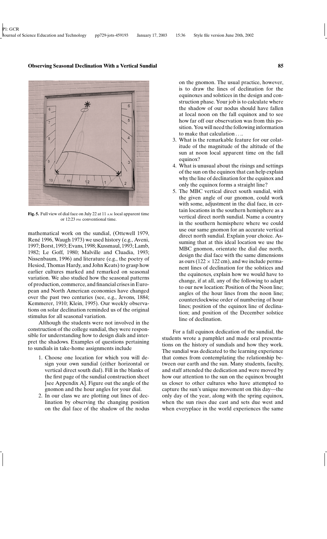

Fig. 5. Full view of dial face on July 22 at 11 A.M. local apparent time or 12:23 P.M. conventional time.

mathematical work on the sundial, (Ottewell 1979, René 1996, Waugh 1973) we used history (e.g., Aveni, 1997; Borst, 1993; Evans, 1998; Kussmaul, 1993; Lamb, 1982; Le Goff, 1980; Malville and Cluadia, 1993; Nissenbaum, 1996) and literature (e.g., the poetry of Hesiod, Thomas Hardy, and John Keats) to grasp how earlier cultures marked and remarked on seasonal variation. We also studied how the seasonal patterns of production, commerce, and financial crises in European and North American economies have changed over the past two centuries (see, e.g., Jevons, 1884; Kemmerer, 1910; Klein, 1995). Our weekly observations on solar declination reminded us of the original stimulus for all seasonal variation.

Although the students were not involved in the construction of the college sundial, they were responsible for understanding how to design dials and interpret the shadows. Examples of questions pertaining to sundials in take-home assignments include

- 1. Choose one location for which you will design your own sundial (either horizontal or vertical direct south dial). Fill in the blanks of the first page of the sundial construction sheet [see Appendix A]. Figure out the angle of the gnomon and the hour angles for your dial.
- 2. In our class we are plotting out lines of declination by observing the changing position on the dial face of the shadow of the nodus

on the gnomon. The usual practice, however, is to draw the lines of declination for the equinoxes and solstices in the design and construction phase. Your job is to calculate where the shadow of our nodus should have fallen at local noon on the fall equinox and to see how far off our observation was from this position. You will need the following information to make that calculation ....

- 3. What is the remarkable feature for our colatitude of the magnitude of the altitude of the sun at noon local apparent time on the fall equinox?
- 4. What is unusual about the risings and settings of the sun on the equinox that can help explain why the line of declination for the equinox and only the equinox forms a straight line?
- 5. The MBC vertical direct south sundial, with the given angle of our gnomon, could work with some, adjustment in the dial face, in certain locations in the southern hemisphere as a vertical direct north sundial. Name a country in the southern hemisphere where we could use our same gnomon for an accurate vertical direct north sundial. Explain your choice. Assuming that at this ideal location we use the MBC gnomon, orientate the dial due north, design the dial face with the same dimensions as ours ( $122 \times 122$  cm), and we include permanent lines of declination for the solstices and the equinoxes, explain how we would have to change, if at all, any of the following to adapt to our new location: Position of the Noon line; angles of the hour lines from the noon line; counterclockwise order of numbering of hour lines; position of the equinox line of declination; and position of the December solstice line of declination.

For a fall equinox dedication of the sundial, the students wrote a pamphlet and made oral presentations on the history of sundials and how they work. The sundial was dedicated to the learning experience that comes from contemplating the relationship between our earth and the sun. Many students, faculty, and staff attended the dedication and were moved by how our attention to the sun on the equinox brought us closer to other cultures who have attempted to capture the sun's unique movement on this day—the only day of the year, along with the spring equinox, when the sun rises due east and sets due west and when everyplace in the world experiences the same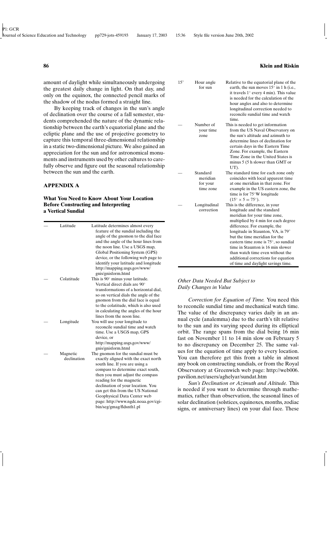amount of daylight while simultaneously undergoing the greatest daily change in light. On that day, and only on the equinox, the connected pencil marks of the shadow of the nodus formed a straight line.

By keeping track of changes in the sun's angle of declination over the course of a fall semester, students comprehended the nature of the dynamic relationship between the earth's equatorial plane and the ecliptic plane and the use of projective geometry to capture this temporal three-dimensional relationship in a static two-dimensional picture. We also gained an appreciation for the sun and for astronomical monuments and instruments used by other cultures to carefully observe and figure out the seasonal relationship between the sun and the earth.

# **APPENDIX A**

## **What You Need to Know About Your Location Before Constructing and Interpreting a Vertical Sundial**

| Latitude                | Latitude determines almost every<br>feature of the sundial including the<br>angle of the gnomon to the dial face<br>and the angle of the hour lines from<br>the noon line. Use a USGS map,<br>Global Positioning System (GPS)<br>device, or the following web page to                                                                                                                          |
|-------------------------|------------------------------------------------------------------------------------------------------------------------------------------------------------------------------------------------------------------------------------------------------------------------------------------------------------------------------------------------------------------------------------------------|
|                         | identify your latitude and longitude<br>http://mapping.usgs.gov/www/<br>gnis/gnisform.html                                                                                                                                                                                                                                                                                                     |
| Colatitude              | This is 90° minus your latitude.<br>Vertical direct dials are 90°<br>transformations of a horizontal dial,<br>so on vertical dials the angle of the<br>gnomon from the dial face is equal<br>to the colatitude, which is also used<br>in calculating the angles of the hour<br>lines from the noon line.                                                                                       |
| Longitude               | You will use your longitude to<br>reconcile sundial time and watch<br>time. Use a USGS map, GPS<br>device, or<br>http://mapping.usgs.gov/www/<br>gnis/gnisform.html                                                                                                                                                                                                                            |
| Magnetic<br>declination | The gnomon for the sundial must be.<br>exactly aligned with the exact north<br>south line. If you are using a<br>compass to determine exact south,<br>then you must adjust the compass<br>reading for the magnetic<br>declination of your location. You<br>can get this from the US National<br>Geophysical Data Center web<br>page: http://www.ngdc.noaa.gov/cgi-<br>bin/seg/gmag/fldsnth1.pl |

| $15^{\circ}$ | Hour angle<br>for sun | Relative to the equatorial plane of the<br>earth, the sun moves $15^{\circ}$ in 1 h (i.e.,<br>it travels $1^\circ$ every 4 min). This value<br>is needed for the calculation of the<br>hour angles and also to determine<br>longitudinal correction needed to<br>reconcile sundial time and watch<br>time. |
|--------------|-----------------------|------------------------------------------------------------------------------------------------------------------------------------------------------------------------------------------------------------------------------------------------------------------------------------------------------------|
|              | Number of             | This is needed to get information                                                                                                                                                                                                                                                                          |
|              | your time             | from the US Naval Observatory on                                                                                                                                                                                                                                                                           |
|              | zone                  | the sun's altitude and azimuth to                                                                                                                                                                                                                                                                          |
|              |                       | determine lines of declination for                                                                                                                                                                                                                                                                         |
|              |                       | certain days in the Eastern Time<br>Zone. For example, the Eastern                                                                                                                                                                                                                                         |
|              |                       | Time Zone in the United States is                                                                                                                                                                                                                                                                          |
|              |                       | minus $5(5h)$ slower than GMT or                                                                                                                                                                                                                                                                           |
|              |                       | UT).                                                                                                                                                                                                                                                                                                       |
|              | Standard              | The standard time for each zone only                                                                                                                                                                                                                                                                       |
|              | meridian              | coincides with local apparent time                                                                                                                                                                                                                                                                         |
|              | for your              | at one meridian in that zone. For                                                                                                                                                                                                                                                                          |
|              | time zone             | example in the US eastern zone, the                                                                                                                                                                                                                                                                        |
|              |                       | time is for 75°W longitude                                                                                                                                                                                                                                                                                 |
|              | Longitudinal          | $(15^{\circ} \times 5 = 75^{\circ}).$<br>This is the difference, in your                                                                                                                                                                                                                                   |
|              | correction            | longitude and the standard                                                                                                                                                                                                                                                                                 |
|              |                       | meridian for your time zone,                                                                                                                                                                                                                                                                               |
|              |                       | multiplied by 4 min for each degree                                                                                                                                                                                                                                                                        |
|              |                       | difference. For example, the                                                                                                                                                                                                                                                                               |
|              |                       | longitude in Staunton, VA, is $79^{\circ}$                                                                                                                                                                                                                                                                 |
|              |                       | but the time meridian for the                                                                                                                                                                                                                                                                              |
|              |                       | eastern time zone is 75°, so sundial                                                                                                                                                                                                                                                                       |
|              |                       | time in Staunton is 16 min slower                                                                                                                                                                                                                                                                          |
|              |                       | than watch time even without the                                                                                                                                                                                                                                                                           |
|              |                       | additional corrections for equation                                                                                                                                                                                                                                                                        |
|              |                       | of time and daylight savings time.                                                                                                                                                                                                                                                                         |

# *Other Data Needed But Subject to Daily Changes in Value*

*Correction for Equation of Time.* You need this to reconcile sundial time and mechanical watch time. The value of the discrepancy varies daily in an annual cycle (analemma) due to the earth's tilt relative to the sun and its varying speed during its elliptical orbit. The range spans from the dial being 16 min fast on November 11 to 14 min slow on February 5 to no discrepancy on December 25. The same values for the equation of time apply to every location. You can therefore get this from a table in almost any book on constructing sundials, or from the Royal Observatory at Greenwich web page: http://web006. pavilion.net/users/aghelyar/sundat.htm

*Sun's Declination or Azimuth and Altitude.* This is needed if you want to determine through mathematics, rather than observation, the seasonal lines of solar declination (solstices, equinoxes, months, zodiac signs, or anniversary lines) on your dial face. These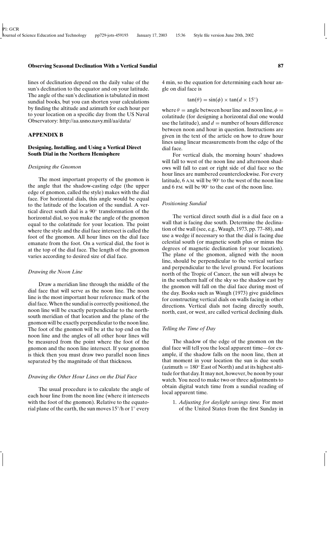#### **Observing Seasonal Declination With a Vertical Sundial 87 and 87 and 87 and 87 and 87 and 87 and 87 and 87 and 87 and 87 and 87 and 87 and 87 and 87 and 87 and 87 and 87 and 87 and 87 and 87 and 87 and 87 and 87 and 87 an**

lines of declination depend on the daily value of the sun's declination to the equator and on your latitude. The angle of the sun's declination is tabulated in most sundial books, but you can shorten your calculations by finding the altitude and azimuth for each hour per to your location on a specific day from the US Naval Observatory: http://aa.usno.navy.mil/aa/data/

# **APPENDIX B**

# **Designing, Installing, and Using a Vertical Direct South Dial in the Northern Hemisphere**

#### *Designing the Gnomon*

The most important property of the gnomon is the angle that the shadow-casting edge (the upper edge of gnomon, called the style) makes with the dial face. For horizontal dials, this angle would be equal to the latitude of the location of the sundial. A vertical direct south dial is a 90◦ transformation of the horizontal dial, so you make the angle of the gnomon equal to the colatitude for your location. The point where the style and the dial face intersect is called the foot of the gnomon. All hour lines on the dial face emanate from the foot. On a vertical dial, the foot is at the top of the dial face. The length of the gnomon varies according to desired size of dial face.

#### *Drawing the Noon Line*

Draw a meridian line through the middle of the dial face that will serve as the noon line. The noon line is the most important hour reference mark of the dial face. When the sundial is correctly positioned, the noon line will be exactly perpendicular to the northsouth meridian of that location and the plane of the gnomon will be exactly perpendicular to the noon line. The foot of the gnomon will be at the top end on the noon line and the angles of all other hour lines will be measured from the point where the foot of the gnomon and the noon line intersect. If your gnomon is thick then you must draw two parallel noon lines separated by the magnitude of that thickness.

## *Drawing the Other Hour Lines on the Dial Face*

The usual procedure is to calculate the angle of each hour line from the noon line (where it intersects with the foot of the gnomon). Relative to the equatorial plane of the earth, the sun moves  $15°/h$  or  $1°$  every 4 min, so the equation for determining each hour angle on dial face is

$$
\tan(\theta) = \sin(\phi) \times \tan(d \times 15^{\circ})
$$

where  $\theta$  = angle between hour line and noon line,  $\phi$  = colatitude (for designing a horizontal dial one would use the latitude), and  $d =$  number of hours difference between noon and hour in question. Instructions are given in the text of the article on how to draw hour lines using linear measurements from the edge of the dial face.

For vertical dials, the morning hours' shadows will fall to west of the noon line and afternoon shadows will fall to east or right side of dial face so the hour lines are numbered counterclockwise. For every latitude, 6 A.M. will be 90◦ to the west of the noon line and 6 P.M. will be  $90^\circ$  to the east of the noon line.

#### *Positioning Sundial*

The vertical direct south dial is a dial face on a wall that is facing due south. Determine the declination of the wall (see, e.g., Waugh, 1973, pp. 77–88), and use a wedge if necessary so that the dial is facing due celestial south (or magnetic south plus or minus the degrees of magnetic declination for your location). The plane of the gnomon, aligned with the noon line, should be perpendicular to the vertical surface and perpendicular to the level ground. For locations north of the Tropic of Cancer, the sun will always be in the southern half of the sky so the shadow cast by the gnomon will fall on the dial face during most of the day. Books such as Waugh (1973) give guidelines for constructing vertical dials on walls facing in other directions. Vertical dials not facing directly south, north, east, or west, are called vertical declining dials.

#### *Telling the Time of Day*

The shadow of the edge of the gnomon on the dial face will tell you the local apparent time—for example, if the shadow falls on the noon line, then at that moment in your location the sun is due south (azimuth  $= 180^\circ$  East of North) and at its highest altitude for that day. It may not, however, be noon by your watch. You need to make two or three adjustments to obtain digital watch time from a sundial reading of local apparent time.

1. *Adjusting for daylight savings time.* For most of the United States from the first Sunday in